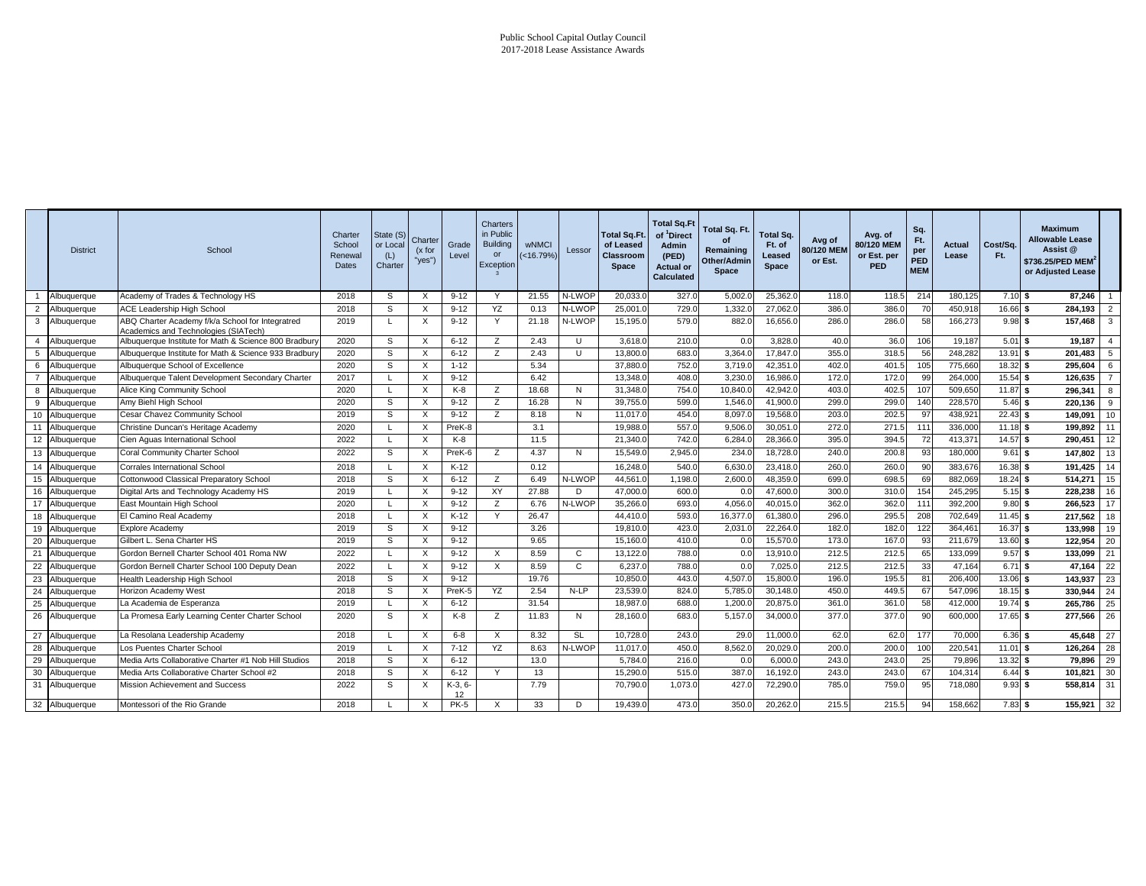|                | <b>District</b> | School                                                                                   | Charter<br>School<br>Renewal<br>Dates | State (S)<br>or Local<br>(L)<br>Charter | Charter<br>(x for<br>"yes") | Grade<br>Level | Charters<br>in Public<br><b>Building</b><br>or<br>Exception | wNMCI<br>$( < 16.79\%$ | Lessor | Total Sq.Ft.<br>of Leased<br>Classroom<br><b>Space</b> | <b>Total Sq.Ft</b><br>of <sup>1</sup> Direct<br>Admin<br>(PED)<br><b>Actual or</b><br><b>Calculated</b> | Total Sq. Ft.<br>of<br>Remaining<br>Other/Admin<br>Space | Total Sq.<br>Ft. of<br>Leased<br>Space | Avg of<br>80/120 MEN<br>or Est. | Avg. of<br>80/120 MEM<br>or Est. per<br><b>PED</b> | Sq.<br>Ft.<br>per<br>PED<br><b>MEM</b> | Actual<br>Lease | Cost/Sq.<br>Ft. | <b>Maximum</b><br><b>Allowable Lease</b><br>Assist @<br>\$736.25/PED MEM $^{\prime}$<br>or Adjusted Lease |                         |
|----------------|-----------------|------------------------------------------------------------------------------------------|---------------------------------------|-----------------------------------------|-----------------------------|----------------|-------------------------------------------------------------|------------------------|--------|--------------------------------------------------------|---------------------------------------------------------------------------------------------------------|----------------------------------------------------------|----------------------------------------|---------------------------------|----------------------------------------------------|----------------------------------------|-----------------|-----------------|-----------------------------------------------------------------------------------------------------------|-------------------------|
|                | Albuquerque     | Academy of Trades & Technology HS                                                        | 2018                                  | S                                       | X                           | $9 - 12$       | Y                                                           | 21.55                  | N-LWOF | 20.033.                                                | 327.0                                                                                                   | 5.002.                                                   | 25,362.0                               | 118.0                           | 118.5                                              | 214                                    | 180,125         | $7.10$ \$       | 87,246                                                                                                    | $\overline{1}$          |
| $\overline{2}$ | Albuquerque     | ACE Leadership High School                                                               | 2018                                  | S                                       | X                           | $9 - 12$       | YZ                                                          | 0.13                   | N-LWOP | 25,001.0                                               | 729.0                                                                                                   | 1,332.                                                   | 27,062.0                               | 386.0                           | 386.                                               | 70                                     | 450,918         | 16.66 \$        | 284,193                                                                                                   | $\overline{2}$          |
| $\mathbf{3}$   | Albuquerque     | ABQ Charter Academy f/k/a School for Integratred<br>Academics and Technologies (SIATech) | 2019                                  |                                         | X                           | $9 - 12$       | Y                                                           | 21.18                  | N-LWOP | 15,195.0                                               | 579.0                                                                                                   | 882.0                                                    | 16,656.0                               | 286.0                           | 286.0                                              | 58                                     | 166,27          | 9.98S           | 157,468                                                                                                   | $\overline{\mathbf{3}}$ |
| $\overline{4}$ | Albuquerque     | Albuquerque Institute for Math & Science 800 Bradbur                                     | 2020                                  | S                                       | X                           | $6 - 12$       | z                                                           | 2.43                   | U      | 3,618.0                                                | 210.0                                                                                                   | 0.0                                                      | 3.828.0                                | 40.0                            | 36(                                                | 106                                    | 19,187          | $5.01$ \$       | 19,187                                                                                                    | -4                      |
| 5              | Albuquerque     | Albuquerque Institute for Math & Science 933 Bradbury                                    | 2020                                  | S                                       | X                           | $6 - 12$       | $\overline{z}$                                              | 2.43                   | U      | 13,800.0                                               | 683.0                                                                                                   | 3,364.0                                                  | 17,847.0                               | 355.0                           | 318.5                                              | 56                                     | 248,282         | $13.91$ \$      | 201.483                                                                                                   | 5                       |
| 6              | Albuquerque     | Albuquerque School of Excellence                                                         | 2020                                  | S                                       | X                           | $1 - 12$       |                                                             | 5.34                   |        | 37,880.0                                               | 752.0                                                                                                   | 3,719.                                                   | 42,351.0                               | 402.0                           | 401.5                                              | 105                                    | 775,660         | $18.32$ \$      | 295,604                                                                                                   | 6                       |
| $\overline{7}$ | Albuquerque     | Albuquerque Talent Development Secondary Charter                                         | 2017                                  |                                         | X                           | $9 - 12$       |                                                             | 6.42                   |        | 13,348.0                                               | 408.0                                                                                                   | 3,230.                                                   | 16,986.0                               | 172.0                           | 172.0                                              | 99                                     | 264,00          | 15.54 \$        | 126,635                                                                                                   | $\overline{7}$          |
| 8              | Albuquerque     | Alice King Community School                                                              | 2020                                  |                                         | X                           | K-8            | z                                                           | 18.68                  | N      | 31,348.0                                               | 754.0                                                                                                   | 10,840.                                                  | 42,942.0                               | 403.0                           | 402.5                                              | 107                                    | 509,650         | 11.87 \$        | 296,341                                                                                                   | 8                       |
| -9             | Albuquerque     | Amy Biehl High School                                                                    | 2020                                  | S                                       | X                           | $9 - 12$       | z                                                           | 16.28                  | N      | 39,755.0                                               | 599.0                                                                                                   | 1,546.                                                   | 41,900.0                               | 299.0                           | 299.0                                              | 140                                    | 228,570         | $5.46$ \$       | 220,136                                                                                                   | 9                       |
| 10             | Albuquerque     | Cesar Chavez Community School                                                            | 2019                                  | S                                       | X                           | $9 - 12$       | Z                                                           | 8.18                   | N      | 11.017.0                                               | 454.0                                                                                                   | 8,097                                                    | 19,568.0                               | 203.0                           | 202.5                                              | 97                                     | 438,92          | $22.43$ \$      | 149,091                                                                                                   | 10                      |
| 11             | Albuquerque     | Christine Duncan's Heritage Academy                                                      | 2020                                  |                                         | X                           | PreK-8         |                                                             | 3.1                    |        | 19,988.0                                               | 557.0                                                                                                   | 9,506.                                                   | 30,051.0                               | 272.0                           | 271.5                                              | 111                                    | 336,000         | $11.18$ \$      | 199,892                                                                                                   | 11                      |
| 12             | Albuquerque     | Cien Aguas International School                                                          | 2022                                  |                                         | X                           | $K-8$          |                                                             | 11.5                   |        | 21,340.0                                               | 742.0                                                                                                   | 6,284.                                                   | 28,366.0                               | 395.0                           | 394.                                               | 72                                     | 413,37          | $14.57$ \$      | 290,451                                                                                                   | 12                      |
| 13             | Albuquerque     | Coral Community Charter School                                                           | 2022                                  | S                                       | X                           | PreK-6         | z                                                           | 4.37                   | N      | 15,549.0                                               | 2,945.0                                                                                                 | 234.                                                     | 18,728.0                               | 240.0                           | 200.                                               | 93                                     | 180,000         | 9.61            | 147,802<br>- \$                                                                                           | 13                      |
| 14             | Albuquerque     | Corrales International School                                                            | 2018                                  |                                         | X                           | K-12           |                                                             | 0.12                   |        | 16,248.0                                               | 540.0                                                                                                   | 6,630.                                                   | 23,418.0                               | 260.0                           | 260.                                               | 90                                     | 383,676         | $16.38$ \$      | 191,425                                                                                                   | 14                      |
| 15             | Albuquerque     | Cottonwood Classical Preparatory School                                                  | 2018                                  | S                                       | X                           | $6 - 12$       | z                                                           | 6.49                   | N-LWOP | 44,561.0                                               | 1,198.0                                                                                                 | 2,600.                                                   | 48,359.0                               | 699.0                           | 698.                                               | 69                                     | 882,06          | $18.24$ \$      | 514,271                                                                                                   | 15                      |
| 16             | Albuquerque     | Digital Arts and Technology Academy HS                                                   | 2019                                  |                                         | X                           | $9 - 12$       | XY                                                          | 27.88                  | D      | $\overline{47,000.0}$                                  | 600.0                                                                                                   | 0. <sub>C</sub>                                          | 47,600.0                               | 300.0                           | 310.0                                              | 154                                    | 245,295         | 5.15S           | 228,238                                                                                                   | 16                      |
|                | 17 Albuquerque  | East Mountain High School                                                                | 2020                                  |                                         | X                           | $9 - 12$       | z                                                           | 6.76                   | N-LWOP | 35,266.0                                               | 693.0                                                                                                   | 4,056.                                                   | 40,015.0                               | 362.0                           | 362.0                                              | 111                                    | 392,200         | $9.80$ \$       | 266,523                                                                                                   | 17                      |
| 18             | Albuquerque     | El Camino Real Academy                                                                   | 2018                                  |                                         | X                           | $K-12$         | Y                                                           | 26.47                  |        | 44,410.0                                               | 593.0                                                                                                   | 16,377.                                                  | 61,380.0                               | 296.0                           | 295.                                               | 208                                    | 702,649         | $11.45$ \$      | 217.562                                                                                                   | 18                      |
| 19             | Albuquerque     | Explore Academy                                                                          | 2019                                  | S                                       | X                           | $9 - 12$       |                                                             | 3.26                   |        | 19,810.                                                | 423.0                                                                                                   | 2,031.                                                   | 22,264.0                               | 182.0                           | 182.                                               | 122                                    | 364,46          | 16.37 \$        | 133,998                                                                                                   | 19                      |
| 20             | Albuquerque     | Gilbert L. Sena Charter HS                                                               | 2019                                  | S                                       | X                           | $9 - 12$       |                                                             | 9.65                   |        | 15,160.0                                               | 410.0                                                                                                   | 0.0                                                      | 15,570.0                               | 173.0                           | 167.                                               | 93                                     | 211,679         | 13.60 \$        | 122,954                                                                                                   | 20                      |
| 21             | Albuquerque     | Gordon Bernell Charter School 401 Roma NW                                                | 2022                                  |                                         | X                           | $9 - 12$       | $\times$                                                    | 8.59                   | C      | 13,122.0                                               | <b>788.0</b>                                                                                            | 0.0                                                      | 13,910.0                               | 212.5                           | 212.5                                              | 65                                     | 133,099         | $9.57$ \$       | 133,099                                                                                                   | 21                      |
|                | 22 Albuquerque  | Gordon Bernell Charter School 100 Deputy Dean                                            | 2022                                  |                                         | $\times$                    | $9 - 12$       | $\times$                                                    | 8.59                   | C      | 6.237.0                                                | <b>788.0</b>                                                                                            | 0.0                                                      | 7,025.0                                | 212.5                           | 212.5                                              | 33                                     | 47,164          | $6.71$ \$       | 47,164                                                                                                    | 22                      |
|                | 23 Albuquerque  | Health Leadership High School                                                            | 2018                                  | S                                       | X                           | $9 - 12$       |                                                             | 19.76                  |        | 10,850.0                                               | 443.0                                                                                                   | 4,507.0                                                  | 15,800.0                               | 196.0                           | 195.                                               | 81                                     | 206,400         | 13.06 \$        | 143,937                                                                                                   | 23                      |
| 24             | Albuquerque     | Horizon Academy West                                                                     | 2018                                  | s                                       | X                           | PreK-5         | YZ                                                          | 2.54                   | $N-LP$ | 23,539.0                                               | 824.0                                                                                                   | 5,785.                                                   | 30,148.0                               | 450.0                           | 449.                                               | 67                                     | 547,096         | $18.15$ \$      | 330,944                                                                                                   | 24                      |
| 25             | Albuquerque     | La Academia de Esperanza                                                                 | 2019                                  |                                         | X                           | $6 - 12$       |                                                             | 31.54                  |        | 18,987.                                                | 688.0                                                                                                   | 1,200.                                                   | 20,875.0                               | 361.0                           | 361.                                               | 58                                     | 412,00          | $19.74$ \$      | 265,786                                                                                                   | 25                      |
|                | 26 Albuquerque  | La Promesa Early Learning Center Charter School                                          | 2020                                  | S                                       | X                           | $K-8$          | z                                                           | 11.83                  | N      | 28,160.0                                               | 683.0                                                                                                   | 5,157.                                                   | 34,000.0                               | 377.0                           | 377.0                                              | 90                                     | 600,00          | $17.65$ \$      | 277,566                                                                                                   | 26                      |
| 27             | Albuquerque     | La Resolana Leadership Academy                                                           | 2018                                  |                                         | X                           | $6 - 8$        | $\times$                                                    | 8.32                   | SL     | 10,728.0                                               | 243.0                                                                                                   | 29.0                                                     | 11,000.0                               | 62.0                            | 62.0                                               | 177                                    | 70,000          | $6.36$ \$       | 45,648                                                                                                    | 27                      |
| 28             | Albuquerque     | Los Puentes Charter School                                                               | 2019                                  |                                         | X                           | $7 - 12$       | YZ                                                          | 8.63                   | N-LWOP | 11,017.0                                               | 450.C                                                                                                   | 8,562.                                                   | 20,029.0                               | 200.0                           | 200.                                               | 100                                    | 220,541         | $11.01$ \$      | 126,264                                                                                                   | 28                      |
|                | 29 Albuquerque  | Media Arts Collaborative Charter #1 Nob Hill Studios                                     | 2018                                  | S                                       | X                           | $6 - 12$       |                                                             | 13.0                   |        | 5,784.0                                                | 216.0                                                                                                   | 0.0                                                      | 6,000.0                                | 243.0                           | 243.                                               | 25                                     | 79,896          | $13.32$ \$      | 79,896                                                                                                    | 29                      |
|                | 30 Albuquerque  | Media Arts Collaborative Charter School #2                                               | 2018                                  | S                                       | X                           | $6 - 12$       | Y                                                           | 13                     |        | 15,290.0                                               | 515.0                                                                                                   | 387.0                                                    | 16,192.0                               | 243.0                           | 243.0                                              | 67                                     | 104,31          | 6.44S           | 101,821                                                                                                   | 30                      |
| 31             | Albuquerque     | Mission Achievement and Success                                                          | 2022                                  | s                                       | X                           | K-3, 6-<br>12  |                                                             | 7.79                   |        | 70,790.0                                               | 1,073.0                                                                                                 | 427.                                                     | 72,290.0                               | 785.0                           | 759.0                                              | 95                                     | 718,080         | $9.93$ \$       | 558,814                                                                                                   | 31                      |
|                | 32 Albuquerque  | Montessori of the Rio Grande                                                             | 2018                                  |                                         | X                           | <b>PK-5</b>    | X                                                           | 33                     | D      | 19,439.0                                               | 473.0                                                                                                   | 350.0                                                    | 20,262.0                               | 215.5                           | 215.5                                              | 94                                     | 158,662         | $7.83$ \$       | 155,921                                                                                                   | 32                      |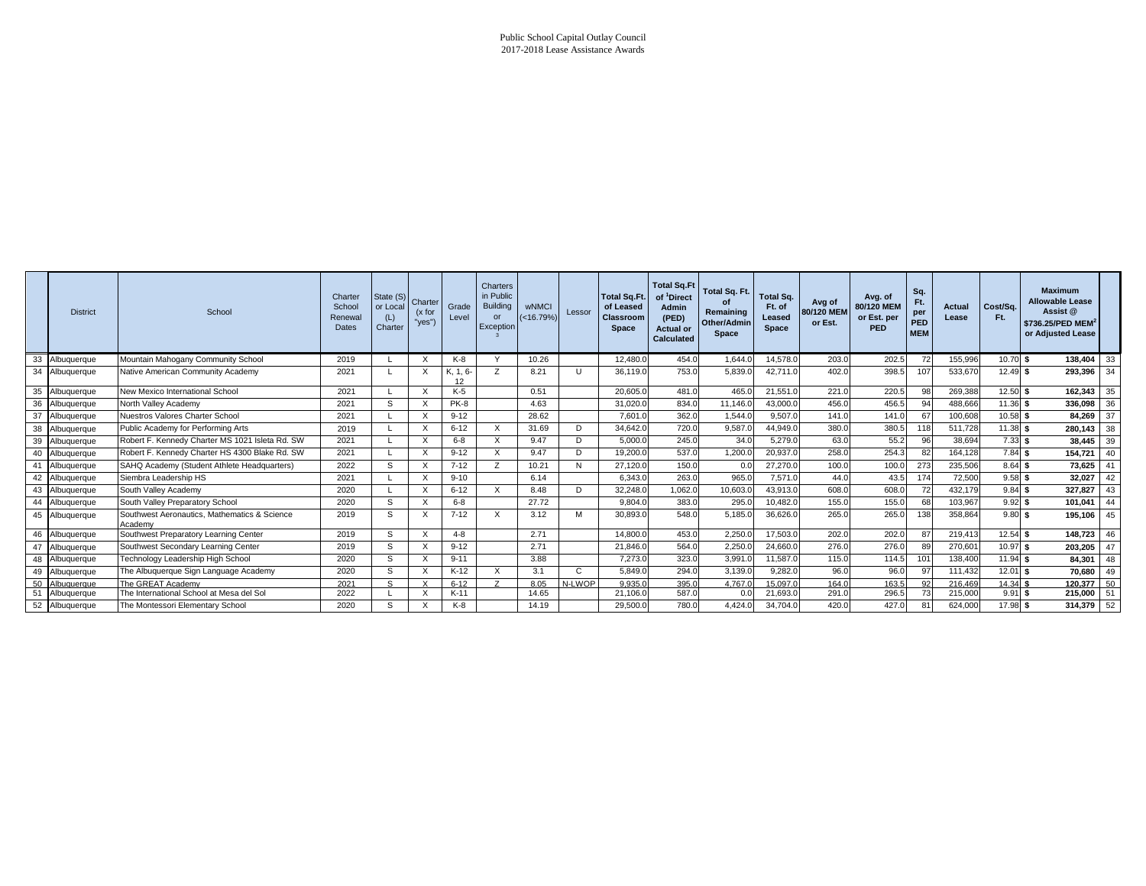#### Public School Capital Outlay Council 2017-2018 Lease Assistance Awards

|    | <b>District</b> | School                                                  | Charter<br>School<br>Renewal<br>Dates | State (S)<br>or Local<br>(L)<br>Charter | Charter<br>(x for<br>"yes") | Grade<br>Level | <b>Charters</b><br>in Public<br><b>Building</b><br>$\Omega$<br>Exception | <b>wNMCI</b><br>$(<16.79\%$ | Lessor | <b>Total Sq.Ft.</b><br>of Leased<br><b>Classroom</b><br><b>Space</b> | <b>Total Sq.Ft</b><br>of <sup>1</sup> Direct<br><b>Admin</b><br>(PED)<br><b>Actual or</b><br><b>Calculated</b> | Total Sq. Ft.<br>Remaining<br>Other/Admin<br><b>Space</b> | <b>Total Sq.</b><br>Ft. of<br>Leased<br><b>Space</b> | Avg of<br>80/120 MEM<br>or Est. | Avg. of<br>80/120 MEM<br>or Est. per<br><b>PED</b> | Sq.<br>Ft.<br>per<br>PED<br><b>MEM</b> | Actual<br>Lease | Cost/Sq.<br>Ft. | <b>Maximum</b><br><b>Allowable Lease</b><br>Assist @<br>\$736.25/PED MEM <sup>2</sup><br>or Adjusted Lease |    |
|----|-----------------|---------------------------------------------------------|---------------------------------------|-----------------------------------------|-----------------------------|----------------|--------------------------------------------------------------------------|-----------------------------|--------|----------------------------------------------------------------------|----------------------------------------------------------------------------------------------------------------|-----------------------------------------------------------|------------------------------------------------------|---------------------------------|----------------------------------------------------|----------------------------------------|-----------------|-----------------|------------------------------------------------------------------------------------------------------------|----|
| 33 | Albuquerque     | Mountain Mahogany Community School                      | 2019                                  |                                         | $\times$                    | $K-8$          | $\checkmark$                                                             | 10.26                       |        | 12.480.0                                                             | 454.0                                                                                                          | 1.644.0                                                   | 14.578.0                                             | 203.0                           | 202.5                                              | 72                                     | 155,996         | $10.70$ \$      | 138.404                                                                                                    | 33 |
|    | 34 Albuquerque  | Native American Community Academy                       | 2021                                  |                                         | $\times$                    | K. 1.6<br>12   |                                                                          | 8.21                        |        | 36.119.0                                                             | 753.0                                                                                                          | 5,839.0                                                   | 42.711.0                                             | 402.0                           | 398.5                                              | 107                                    | 533,67          | $12.49$ \$      | 293,396                                                                                                    | 34 |
|    | 35 Albuquerque  | New Mexico International School                         | 2021                                  |                                         | $\times$                    | $K-5$          |                                                                          | 0.51                        |        | 20,605.0                                                             | 481.0                                                                                                          | 465.0                                                     | 21.551.0                                             | 221.0                           | 220.5                                              | 98                                     | 269,388         | 12.50 \$        | 162,343                                                                                                    | 35 |
| 36 | Albuquerque     | North Valley Academy                                    | 2021                                  | S.                                      | $\times$                    | PK-8           |                                                                          | 4.63                        |        | 31,020.0                                                             | 834.0                                                                                                          | 11,146.0                                                  | 43,000.0                                             | 456.0                           | 456.5                                              | 94                                     | 488,666         | $11.36$ \$      | 336,098                                                                                                    | 36 |
| 37 | Albuquerque     | Nuestros Valores Charter School                         | 2021                                  |                                         | $\times$                    | $9 - 12$       |                                                                          | 28.62                       |        | 7,601.0                                                              | 362.0                                                                                                          | 1.544.0                                                   | 9.507.0                                              | 141.0                           | 141.0                                              | 67                                     | 100,60          | $10.58$ \$      | 84,269                                                                                                     | 37 |
| 38 | Albuquerque     | Public Academy for Performing Arts                      | 2019                                  |                                         | X                           | $6 - 12$       | X                                                                        | 31.69                       |        | 34,642.0                                                             | 720.0                                                                                                          | 9,587.0                                                   | 44,949.0                                             | 380.0                           | 380.5                                              | 111                                    | 511,728         | 11.38S          | 280.143                                                                                                    | 38 |
| 39 | Albuquerque     | Robert F. Kennedy Charter MS 1021 Isleta Rd. SW         | 2021                                  |                                         | $\times$                    | $6 - 8$        | X                                                                        | 9.47                        | D.     | 5,000.0                                                              | 245.0                                                                                                          | 34.0                                                      | 5,279.0                                              | 63.0                            | 55.2                                               | 96                                     | 38,694          | $7.33$ \$       | 38,445                                                                                                     | 39 |
| 40 | Albuquerque     | Robert F. Kennedy Charter HS 4300 Blake Rd. SW          | 2021                                  |                                         | $\times$                    | $9 - 12$       | X                                                                        | 9.47                        | D      | 19,200.0                                                             | 537.0                                                                                                          | 1,200.0                                                   | 20,937.0                                             | 258.0                           | 254.3                                              | 82                                     | 164,128         | $7.84$ \$       | 154,721                                                                                                    | 40 |
|    | Albuquerque     | SAHQ Academy (Student Athlete Headquarters)             | 2022                                  | s                                       | $\times$                    | $7 - 12$       | 7                                                                        | 10.21                       |        | 27,120.0                                                             | 150.0                                                                                                          | 0.0                                                       | 27,270.0                                             | 100.0                           | 100.0                                              | 273                                    | 235,506         | 8.64S           | 73,625                                                                                                     | 41 |
| 42 | Albuquerque     | Siembra Leadership HS                                   | 2021                                  |                                         | $\times$                    | $9 - 10$       |                                                                          | 6.14                        |        | 6,343.0                                                              | 263.0                                                                                                          | 965.0                                                     | 7,571.0                                              | 44.0                            | 43.5                                               | 174                                    | 72,500          | $9.58$ \$       | 32,027                                                                                                     | 42 |
| 43 | Albuquerque     | South Valley Academy                                    | 2020                                  |                                         | $\times$                    | $6 - 12$       | X                                                                        | 8.48                        | D      | 32,248.0                                                             | 1.062.0                                                                                                        | 10,603.0                                                  | 43,913.0                                             | 608.0                           | 608.0                                              | 72                                     | 432.179         | $9.84$ \$       | 327.827                                                                                                    | 43 |
| 44 | Albuquerque     | South Valley Preparatory School                         | 2020                                  | s                                       | $\times$                    | $6 - 8$        |                                                                          | 27.72                       |        | 9,804.0                                                              | 383.0                                                                                                          | 295.0                                                     | 10,482.0                                             | 155.0                           | 155.0                                              | 68                                     | 103,967         | 9.92S           | 101,041                                                                                                    | 44 |
|    | 45 Albuquerque  | Southwest Aeronautics, Mathematics & Science<br>Academy | 2019                                  | s                                       | $\times$                    | $7 - 12$       | X                                                                        | 3.12                        | м      | 30,893.0                                                             | 548.0                                                                                                          | 5,185.0                                                   | 36,626.0                                             | 265.0                           | 265.0                                              | 138                                    | 358,864         | 9.80S           | 195,106                                                                                                    | 45 |
|    | 46 Albuquerque  | Southwest Preparatory Learning Center                   | 2019                                  | S                                       | $\times$                    | $4 - 8$        |                                                                          | 2.71                        |        | 14,800.0                                                             | 453.0                                                                                                          | 2.250.0                                                   | 17,503.0                                             | 202.0                           | 202.0                                              | 87                                     | 219,41          | $12.54$ \$      | 148,723                                                                                                    | 46 |
| 47 | Albuquerque     | Southwest Secondary Learning Center                     | 2019                                  | s                                       | $\times$                    | $9 - 12$       |                                                                          | 2.71                        |        | 21,846.0                                                             | 564.0                                                                                                          | 2,250.0                                                   | 24,660.0                                             | 276.0                           | 276.0                                              | 89                                     | 270,60          | $10.97$ \$      | 203.205                                                                                                    | 47 |
| 48 | Albuquerque     | Technology Leadership High School                       | 2020                                  | s                                       | $\times$                    | $9 - 11$       |                                                                          | 3.88                        |        | 7,273.0                                                              | 323.0                                                                                                          | 3,991.                                                    | 11,587.0                                             | 115.0                           | 114.5                                              |                                        | 138,40          | 11.94 \$        | 84,301                                                                                                     | 48 |
| 49 | Albuquerque     | The Albuquerque Sign Language Academy                   | 2020                                  | S                                       | $\times$                    | $K-12$         | X                                                                        | 3.1                         |        | 5.849.0                                                              | 294.0                                                                                                          | 3.139.0                                                   | 9.282.0                                              | 96.0                            | 96.0                                               | 97                                     | 111.432         | $12.01$ \$      | 70.680                                                                                                     | 49 |
| 50 | Albuquerque     | The GREAT Academy                                       | 2021                                  | S.                                      |                             | $6 - 12$       |                                                                          | 8.05                        | N-LWOF | 9.935.0                                                              | 395.0                                                                                                          | 4.767.                                                    | 15.097.0                                             | 164.0                           | 163.5                                              | 92                                     | 216.46          | 14.34           | 120.377                                                                                                    | 50 |
| 51 | Albuquerque     | The International School at Mesa del Sol                | 2022                                  |                                         | $\times$                    | $K-11$         |                                                                          | 14.65                       |        | 21,106.0                                                             | 587.0                                                                                                          | 0.0                                                       | 21,693.0                                             | 291.0                           | 296.5                                              |                                        | 215,00          | $9.91$ \$       | 215,000                                                                                                    | 51 |
|    | 52 Albuquerque  | The Montessori Elementary School                        | 2020                                  | S                                       | $\times$                    | K-8            |                                                                          | 14.19                       |        | 29,500.0                                                             | 780.0                                                                                                          | 4,424.0                                                   | 34,704.0                                             | 420.0                           | 427.0                                              | 81                                     | 624,000         | 17.98 \$        | 314.379                                                                                                    | 52 |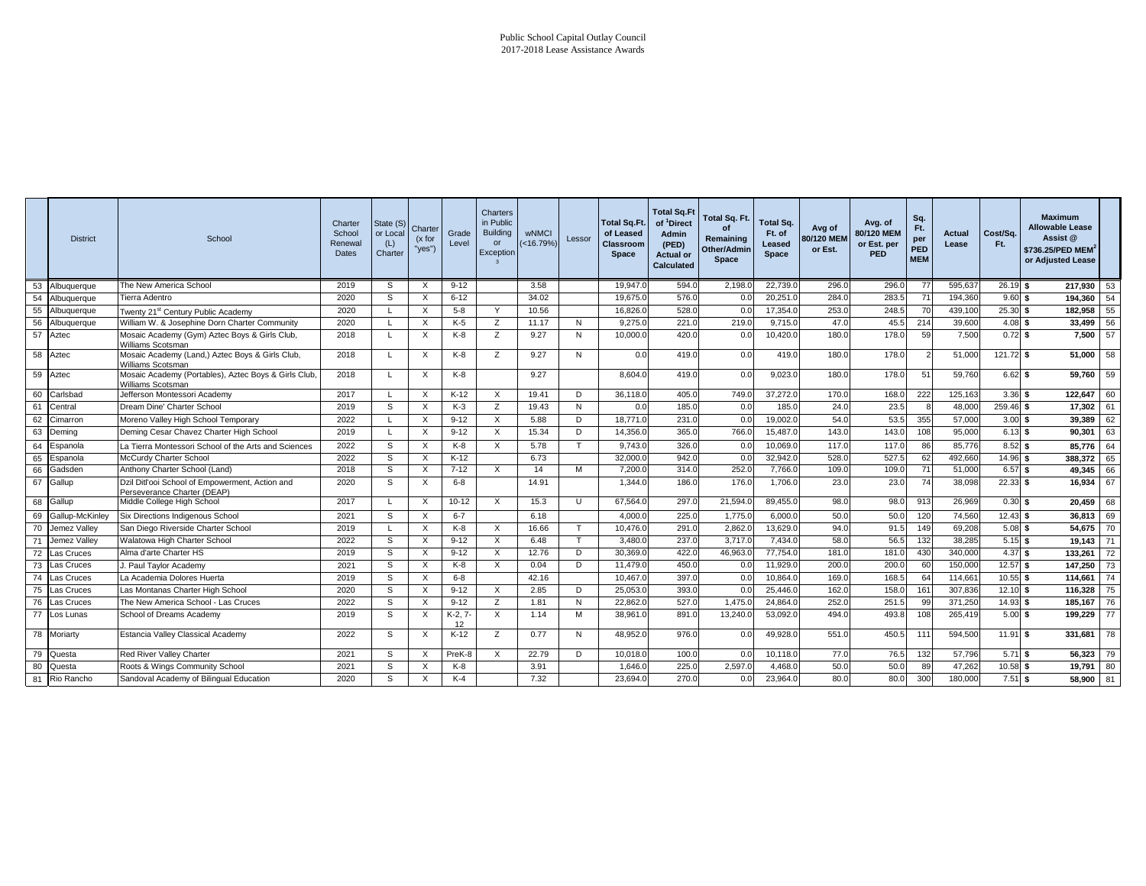|    | <b>District</b>    | School                                                                         | Charter<br>School<br>Renewal<br>Dates | State (S)<br>or Local<br>(L)<br>Charter | Charter<br>(x for<br>"yes") | Grade<br>Level | Charters<br>in Public<br><b>Building</b><br>or<br>Exception | <b>wNMCI</b><br>(<16.79%) | Lessor | <b>Total Sq.Ft.</b><br>of Leased<br><b>Classroom</b><br>Space | <b>Total Sq.Ft</b><br>of <sup>1</sup> Direct<br><b>Admin</b><br>(PED)<br><b>Actual or</b><br>Calculated | Total Sq. Ft.<br>of<br>Remaining<br>Other/Admin<br>Space | <b>Total Sq.</b><br>Ft. of<br>Leased<br>Space | Avg of<br>80/120 MEM<br>or Est. | Avg. of<br>80/120 MEM<br>or Est. per<br><b>PED</b> | Sq.<br>Ft.<br>per<br>PED<br><b>MEM</b> | Actual<br>Lease | Cost/Sq.<br>Ft. | <b>Maximum</b><br><b>Allowable Lease</b><br>Assist @<br>\$736.25/PED MEM <sup>2</sup><br>or Adjusted Lease |    |
|----|--------------------|--------------------------------------------------------------------------------|---------------------------------------|-----------------------------------------|-----------------------------|----------------|-------------------------------------------------------------|---------------------------|--------|---------------------------------------------------------------|---------------------------------------------------------------------------------------------------------|----------------------------------------------------------|-----------------------------------------------|---------------------------------|----------------------------------------------------|----------------------------------------|-----------------|-----------------|------------------------------------------------------------------------------------------------------------|----|
|    | 53 Albuquerque     | The New America School                                                         | 2019                                  | S                                       | X                           | $9 - 12$       |                                                             | 3.58                      |        | 19,947.0                                                      | 594.0                                                                                                   | 2,198.0                                                  | 22,739.0                                      | 296.0                           | 296.0                                              | 77                                     | 595,637         | $26.19$ \$      | 217.930                                                                                                    | 53 |
|    | 54 Albuquerque     | Tierra Adentro                                                                 | 2020                                  | S.                                      | X                           | $6 - 12$       |                                                             | 34.02                     |        | 19,675.0                                                      | 576.0                                                                                                   | 0.0                                                      | 20,251.0                                      | 284.0                           | 283.5                                              | 71                                     | 194,360         | $9.60$ \$       | 194,360                                                                                                    | 54 |
|    | 55 Albuquerque     | Twenty 21 <sup>st</sup> Century Public Academy                                 | 2020                                  |                                         | X                           | $5 - 8$        | Y                                                           | 10.56                     |        | 16,826.0                                                      | 528.0                                                                                                   | 0.0                                                      | 17,354.0                                      | 253.0                           | 248.                                               | 70                                     | 439,100         | $25.30$ \$      | 182,958                                                                                                    | 55 |
|    | 56 Albuquerque     | William W. & Josephine Dorn Charter Community                                  | 2020                                  |                                         | X                           | $K-5$          | z                                                           | 11.17                     | N      | 9,275.0                                                       | 221.0                                                                                                   | 219.0                                                    | 9,715.0                                       | 47.0                            | 45.                                                | 214                                    | 39,600          | 4.08S           | 33,499                                                                                                     | 56 |
| 57 | Aztec              | Mosaic Academy (Gym) Aztec Boys & Girls Club,<br>Williams Scotsman             | 2018                                  |                                         | X                           | K-8            | z                                                           | 9.27                      | N      | 10,000.0                                                      | 420.0                                                                                                   | 0.0                                                      | 10,420.0                                      | 180.0                           | 178.0                                              | 59                                     | 7,500           | $0.72$ \$       | 7,500                                                                                                      | 57 |
| 58 | Aztec              | Mosaic Academy (Land,) Aztec Boys & Girls Club,<br>Williams Scotsman           | 2018                                  |                                         | X                           | $K-8$          | Z                                                           | 9.27                      | N      | 0.0                                                           | 419.0                                                                                                   | 0.0                                                      | 419.0                                         | 180.0                           | 178.0                                              |                                        | 51,000          | $121.72$ \$     | 51.000                                                                                                     | 58 |
| 59 | Aztec              | Mosaic Academy (Portables), Aztec Boys & Girls Club,<br>Williams Scotsman      | 2018                                  |                                         | X                           | K-8            |                                                             | 9.27                      |        | 8,604.0                                                       | 419.0                                                                                                   | 0.0                                                      | 9,023.0                                       | 180.0                           | 178.0                                              | 51                                     | 59,760          | $6.62$ \$       | 59.760                                                                                                     | 59 |
| 60 | Carlsbad           | Jefferson Montessori Academy                                                   | 2017                                  |                                         | X                           | K-12           | $\times$                                                    | 19.41                     | D      | 36,118.0                                                      | 405.0                                                                                                   | 749.0                                                    | 37,272.0                                      | 170.0                           | 168.0                                              | 222                                    | 125,163         | 3.36S           | 122,647                                                                                                    | 60 |
| 61 | Central            | Dream Dine' Charter School                                                     | 2019                                  | s                                       | X                           | $K-3$          | z                                                           | 19.43                     | N      | 0.0                                                           | 185.0                                                                                                   | 0.0                                                      | 185.0                                         | 24.0                            | 23.5                                               |                                        | 48,00           | 259.46          | 17,302                                                                                                     | 61 |
| 62 | Cimarron           | Moreno Valley High School Temporary                                            | 2022                                  |                                         | X                           | $9 - 12$       | X                                                           | 5.88                      | D      | 18,771.0                                                      | 231.0                                                                                                   | 0.0                                                      | 19,002.0                                      | 54.0                            | 53.5                                               | 355                                    | 57,000          | 3.00            | 39,389                                                                                                     | 62 |
|    | 63 Deming          | Deming Cesar Chavez Charter High School                                        | 2019                                  |                                         | X                           | $9 - 12$       | $\times$                                                    | 15.34                     | D      | 14,356.0                                                      | 365.0                                                                                                   | 766.0                                                    | 15,487.0                                      | 143.0                           | 143.0                                              | 108                                    | 95,000          | 6.13S           | 90,301                                                                                                     | 63 |
|    | 64 Espanola        | La Tierra Montessori School of the Arts and Sciences                           | 2022                                  | S                                       | X                           | $K-8$          | $\times$                                                    | 5.78                      | T      | 9.743.0                                                       | 326.0                                                                                                   | 0.0                                                      | 10,069.0                                      | 117.0                           | 117.                                               | 86                                     | 85,776          | 8.52            | 85,776                                                                                                     | 64 |
| 65 | Espanola           | McCurdy Charter School                                                         | 2022                                  | S.                                      | X                           | $K-12$         |                                                             | 6.73                      |        | 32,000.0                                                      | 942.0                                                                                                   | 0.0                                                      | 32,942.0                                      | 528.0                           | 527.5                                              | 62                                     | 492,660         | 14.96           | 388,372                                                                                                    | 65 |
| 66 | Gadsden            | Anthony Charter School (Land)                                                  | 2018                                  | S                                       | X                           | $7 - 12$       | $\times$                                                    | 14                        | м      | 7,200.0                                                       | 314.0                                                                                                   | 252.0                                                    | 7,766.0                                       | 109.0                           | 109.0                                              | 71                                     | 51,000          | 6.57            | 49,345                                                                                                     | 66 |
| 67 | Gallup             | Dzil Ditl'ooi School of Empowerment, Action and<br>Perseverance Charter (DEAP) | 2020                                  | S.                                      | X                           | $6 - 8$        |                                                             | 14.91                     |        | 1,344.0                                                       | 186.0                                                                                                   | 176.0                                                    | 1,706.0                                       | 23.0                            | 23.0                                               | 74                                     | 38,098          | $22.33$ \$      | 16,934                                                                                                     | 67 |
| 68 | Gallup             | Middle College High School                                                     | 2017                                  |                                         | X                           | $10 - 12$      | $\times$                                                    | 15.3                      | U      | 67,564.0                                                      | 297.0                                                                                                   | 21,594.0                                                 | 89,455.0                                      | 98.0                            | 98.0                                               | 913                                    | 26,969          | $0.30$ \$       | 20,459                                                                                                     | 68 |
|    | 69 Gallup-McKinley | Six Directions Indigenous School                                               | 2021                                  | S                                       | $\times$                    | $6 - 7$        |                                                             | 6.18                      |        | 4.000.0                                                       | 225.0                                                                                                   | 1,775.0                                                  | 6.000.0                                       | 50.0                            | 50.0                                               | 120                                    | 74,560          | 12.43           | 36.813                                                                                                     | 69 |
| 70 | Jemez Valley       | San Diego Riverside Charter School                                             | 2019                                  |                                         | X                           | $K-8$          | $\times$                                                    | 16.66                     |        | 10,476.0                                                      | 291.0                                                                                                   | 2,862.0                                                  | 13,629.0                                      | 94.0                            | 91.5                                               | 149                                    | 69,208          | 5.08            | 54,675                                                                                                     | 70 |
| 71 | Jemez Valley       | Walatowa High Charter School                                                   | 2022                                  | S                                       | X                           | $9 - 12$       | $\times$                                                    | 6.48                      | T.     | 3.480.0                                                       | 237.0                                                                                                   | 3.717.0                                                  | 7.434.0                                       | 58.0                            | 56.                                                | 132                                    | 38,285          | 5.15            | 19,143                                                                                                     | 71 |
| 72 | Las Cruces         | Alma d'arte Charter HS                                                         | 2019                                  | S                                       | X                           | $9 - 12$       | $\times$                                                    | 12.76                     | D      | 30,369.0                                                      | 422.0                                                                                                   | 46,963.0                                                 | 77,754.0                                      | 181.0                           | 181.0                                              | 430                                    | 340,000         | 4.37            | 133,261                                                                                                    | 72 |
| 73 | Las Cruces         | J. Paul Taylor Academy                                                         | 2021                                  | S                                       | X                           | K-8            | $\times$                                                    | 0.04                      | D      | 11,479.0                                                      | 450.0                                                                                                   | 0.0                                                      | 11,929.0                                      | 200.0                           | 200.                                               | 60                                     | 150,000         | $12.57$ \$      | 147,250                                                                                                    | 73 |
| 74 | Las Cruces         | La Academia Dolores Huerta                                                     | 2019                                  | S                                       | X                           | $6 - 8$        |                                                             | 42.16                     |        | 10,467.0                                                      | 397.0                                                                                                   | 0.0                                                      | 10,864.0                                      | 169.0                           | 168.                                               | 64                                     | 114,66          | 10.55           | 114,661                                                                                                    | 74 |
| 75 | Las Cruces         | Las Montanas Charter High School                                               | 2020                                  | S                                       | X                           | $9 - 12$       | $\times$                                                    | 2.85                      | D      | 25,053.0                                                      | 393.0                                                                                                   | 0.0                                                      | 25,446.0                                      | 162.0                           | 158.0                                              | 161                                    | 307,836         | $12.10$ \$      | 116,328                                                                                                    | 75 |
| 76 | Las Cruces         | The New America School - Las Cruces                                            | 2022                                  | s                                       | X                           | $9 - 12$       | z                                                           | 1.81                      | N      | 22,862.0                                                      | 527.0                                                                                                   | 1,475.0                                                  | 24,864.0                                      | 252.0                           | 251.                                               | 99                                     | 371,250         | 14.93           | 185,167                                                                                                    | 76 |
| 77 | Los Lunas          | School of Dreams Academy                                                       | 2019                                  | S                                       | X                           | $K-2, 7$<br>12 | $\times$                                                    | 1.14                      | M      | 38.961.0                                                      | 891.0                                                                                                   | 13,240.0                                                 | 53.092.0                                      | 494.0                           | 493.8                                              | 108                                    | 265,419         | 5.00S           | 199,229                                                                                                    | 77 |
|    | 78 Moriarty        | <b>Estancia Valley Classical Academy</b>                                       | 2022                                  | S                                       | X                           | $K-12$         | z                                                           | 0.77                      | N      | 48.952.0                                                      | 976.0                                                                                                   | 0.0                                                      | 49,928.0                                      | 551.0                           | 450.5                                              | 111                                    | 594,500         | $11.91$ \$      | 331,681                                                                                                    | 78 |
|    | 79 Questa          | Red River Valley Charter                                                       | 2021                                  | S                                       | X                           | PreK-8         | $\times$                                                    | 22.79                     | D      | 10,018.0                                                      | 100.0                                                                                                   | 0.0                                                      | 10,118.0                                      | 77.0                            | 76.5                                               | 132                                    | 57.796          | $5.71$ \$       | 56,323                                                                                                     | 79 |
| 80 | Questa             | Roots & Wings Community School                                                 | 2021                                  | S                                       | X                           | $K-8$          |                                                             | 3.91                      |        | 1,646.0                                                       | 225.0                                                                                                   | 2,597.0                                                  | 4,468.0                                       | 50.0                            | 50.0                                               | 89                                     | 47,262          | 10.58S          | 19,791                                                                                                     | 80 |
| 81 | Rio Rancho         | Sandoval Academy of Bilingual Education                                        | 2020                                  | S.                                      | X                           | $K-4$          |                                                             | 7.32                      |        | 23,694.0                                                      | 270.0                                                                                                   | 0.0                                                      | 23,964.0                                      | 80.0                            | 80.0                                               | 300                                    | 180,000         | $7.51$ \$       | 58,900                                                                                                     | 81 |